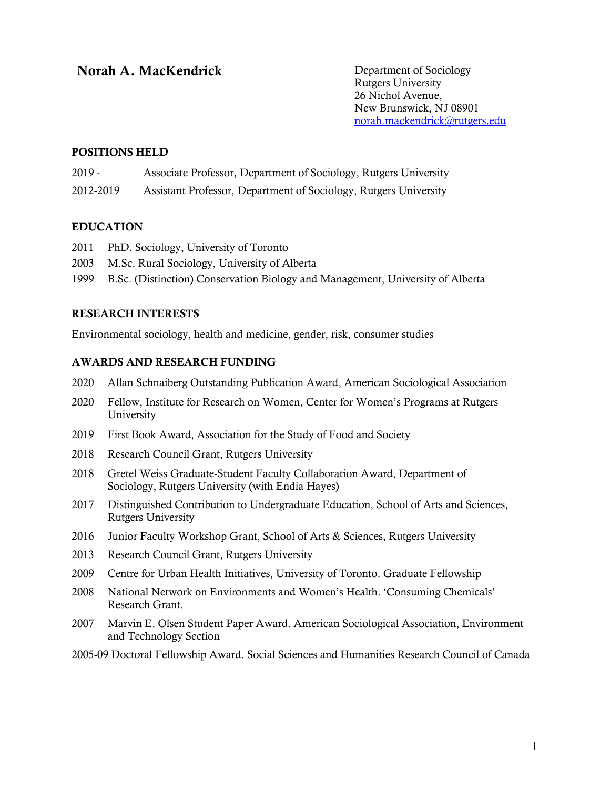# **Norah A. MacKendrick Department of Sociology**

Rutgers University 26 Nichol Avenue, New Brunswick, NJ 08901 norah.mackendrick@rutgers.edu

#### POSITIONS HELD

2019 - Associate Professor, Department of Sociology, Rutgers University

2012-2019 Assistant Professor, Department of Sociology, Rutgers University

#### EDUCATION

- 2011 PhD. Sociology, University of Toronto
- 2003 M.Sc. Rural Sociology, University of Alberta
- 1999 B.Sc. (Distinction) Conservation Biology and Management, University of Alberta

#### RESEARCH INTERESTS

Environmental sociology, health and medicine, gender, risk, consumer studies

#### AWARDS AND RESEARCH FUNDING

- 2020 Allan Schnaiberg Outstanding Publication Award, American Sociological Association
- 2020 Fellow, Institute for Research on Women, Center for Women's Programs at Rutgers University
- 2019 First Book Award, Association for the Study of Food and Society
- 2018 Research Council Grant, Rutgers University
- 2018 Gretel Weiss Graduate-Student Faculty Collaboration Award, Department of Sociology, Rutgers University (with Endia Hayes)
- 2017 Distinguished Contribution to Undergraduate Education, School of Arts and Sciences, Rutgers University
- 2016 Junior Faculty Workshop Grant, School of Arts & Sciences, Rutgers University
- 2013 Research Council Grant, Rutgers University
- 2009 Centre for Urban Health Initiatives, University of Toronto. Graduate Fellowship
- 2008 National Network on Environments and Women's Health. 'Consuming Chemicals' Research Grant.
- 2007 Marvin E. Olsen Student Paper Award. American Sociological Association, Environment and Technology Section
- 2005-09 Doctoral Fellowship Award. Social Sciences and Humanities Research Council of Canada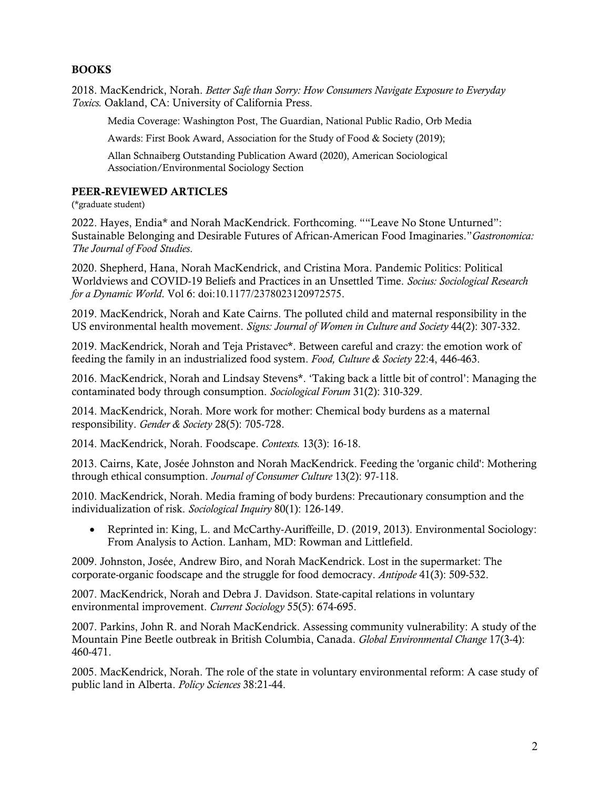### BOOKS

2018. MacKendrick, Norah. *Better Safe than Sorry: How Consumers Navigate Exposure to Everyday Toxics.* Oakland, CA: University of California Press.

Media Coverage: Washington Post, The Guardian, National Public Radio, Orb Media

Awards: First Book Award, Association for the Study of Food & Society (2019);

Allan Schnaiberg Outstanding Publication Award (2020), American Sociological Association/Environmental Sociology Section

### PEER-REVIEWED ARTICLES

(\*graduate student)

2022. Hayes, Endia\* and Norah MacKendrick. Forthcoming. ""Leave No Stone Unturned": Sustainable Belonging and Desirable Futures of African-American Food Imaginaries."*Gastronomica: The Journal of Food Studies*.

2020. Shepherd, Hana, Norah MacKendrick, and Cristina Mora. Pandemic Politics: Political Worldviews and COVID-19 Beliefs and Practices in an Unsettled Time. *Socius: Sociological Research for a Dynamic World*. Vol 6: doi:10.1177/2378023120972575.

2019. MacKendrick, Norah and Kate Cairns. The polluted child and maternal responsibility in the US environmental health movement. *Signs: Journal of Women in Culture and Society* 44(2): 307-332.

2019. MacKendrick, Norah and Teja Pristavec\*. Between careful and crazy: the emotion work of feeding the family in an industrialized food system. *Food, Culture & Society* 22:4, 446-463.

2016. MacKendrick, Norah and Lindsay Stevens\*. 'Taking back a little bit of control': Managing the contaminated body through consumption. *Sociological Forum* 31(2): 310-329.

2014. MacKendrick, Norah. More work for mother: Chemical body burdens as a maternal responsibility. *Gender & Society* 28(5): 705-728.

2014. MacKendrick, Norah. Foodscape. *Contexts.* 13(3): 16-18.

2013. Cairns, Kate, Josée Johnston and Norah MacKendrick. Feeding the 'organic child': Mothering through ethical consumption. *Journal of Consumer Culture* 13(2): 97-118.

2010. MacKendrick, Norah. Media framing of body burdens: Precautionary consumption and the individualization of risk. *Sociological Inquiry* 80(1): 126-149.

• Reprinted in: King, L. and McCarthy-Auriffeille, D. (2019, 2013). Environmental Sociology: From Analysis to Action. Lanham, MD: Rowman and Littlefield.

2009. Johnston, Josée, Andrew Biro, and Norah MacKendrick. Lost in the supermarket: The corporate-organic foodscape and the struggle for food democracy. *Antipode* 41(3): 509-532.

2007. MacKendrick, Norah and Debra J. Davidson. State-capital relations in voluntary environmental improvement. *Current Sociology* 55(5): 674-695.

2007. Parkins, John R. and Norah MacKendrick. Assessing community vulnerability: A study of the Mountain Pine Beetle outbreak in British Columbia, Canada. *Global Environmental Change* 17(3-4): 460-471.

2005. MacKendrick, Norah. The role of the state in voluntary environmental reform: A case study of public land in Alberta. *Policy Sciences* 38:21-44.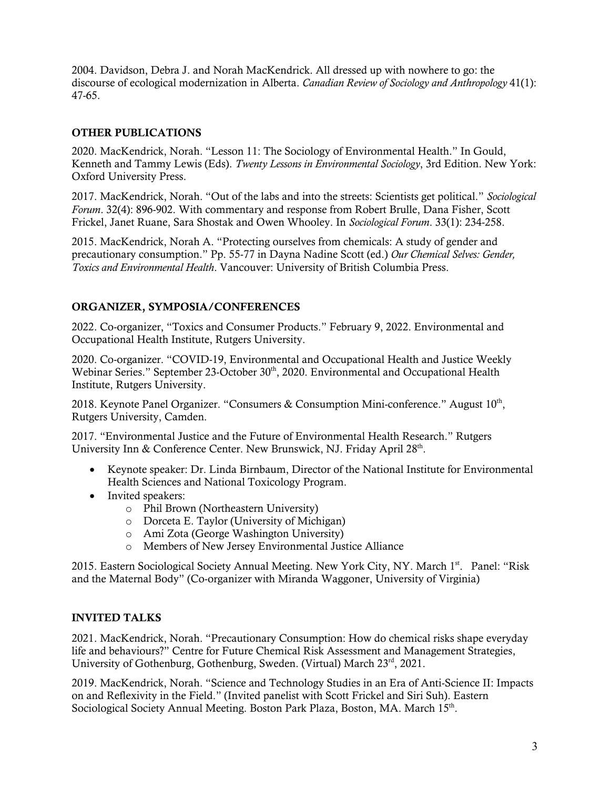2004. Davidson, Debra J. and Norah MacKendrick. All dressed up with nowhere to go: the discourse of ecological modernization in Alberta. *Canadian Review of Sociology and Anthropology* 41(1): 47-65.

### OTHER PUBLICATIONS

2020. MacKendrick, Norah. "Lesson 11: The Sociology of Environmental Health." In Gould, Kenneth and Tammy Lewis (Eds). *Twenty Lessons in Environmental Sociology*, 3rd Edition. New York: Oxford University Press.

2017. MacKendrick, Norah. "Out of the labs and into the streets: Scientists get political." *Sociological Forum*. 32(4): 896-902. With commentary and response from Robert Brulle, Dana Fisher, Scott Frickel, Janet Ruane, Sara Shostak and Owen Whooley. In *Sociological Forum*. 33(1): 234-258.

2015. MacKendrick, Norah A. "Protecting ourselves from chemicals: A study of gender and precautionary consumption." Pp. 55-77 in Dayna Nadine Scott (ed.) *Our Chemical Selves: Gender, Toxics and Environmental Health*. Vancouver: University of British Columbia Press.

### ORGANIZER, SYMPOSIA/CONFERENCES

2022. Co-organizer, "Toxics and Consumer Products." February 9, 2022. Environmental and Occupational Health Institute, Rutgers University.

2020. Co-organizer. "COVID-19, Environmental and Occupational Health and Justice Weekly Webinar Series." September 23-October 30<sup>th</sup>, 2020. Environmental and Occupational Health Institute, Rutgers University.

2018. Keynote Panel Organizer. "Consumers & Consumption Mini-conference." August  $10<sup>th</sup>$ , Rutgers University, Camden.

2017. "Environmental Justice and the Future of Environmental Health Research." Rutgers University Inn & Conference Center. New Brunswick, NJ. Friday April 28<sup>th</sup>.

- Keynote speaker: Dr. Linda Birnbaum, Director of the National Institute for Environmental Health Sciences and National Toxicology Program.
- Invited speakers:
	- o Phil Brown (Northeastern University)
	- o Dorceta E. Taylor (University of Michigan)
	- o Ami Zota (George Washington University)
	- o Members of New Jersey Environmental Justice Alliance

2015. Eastern Sociological Society Annual Meeting. New York City, NY. March 1st. Panel: "Risk and the Maternal Body" (Co-organizer with Miranda Waggoner, University of Virginia)

#### INVITED TALKS

2021. MacKendrick, Norah. "Precautionary Consumption: How do chemical risks shape everyday life and behaviours?" Centre for Future Chemical Risk Assessment and Management Strategies, University of Gothenburg, Gothenburg, Sweden. (Virtual) March 23<sup>rd</sup>, 2021.

2019. MacKendrick, Norah. "Science and Technology Studies in an Era of Anti-Science II: Impacts on and Reflexivity in the Field." (Invited panelist with Scott Frickel and Siri Suh). Eastern Sociological Society Annual Meeting. Boston Park Plaza, Boston, MA. March 15th.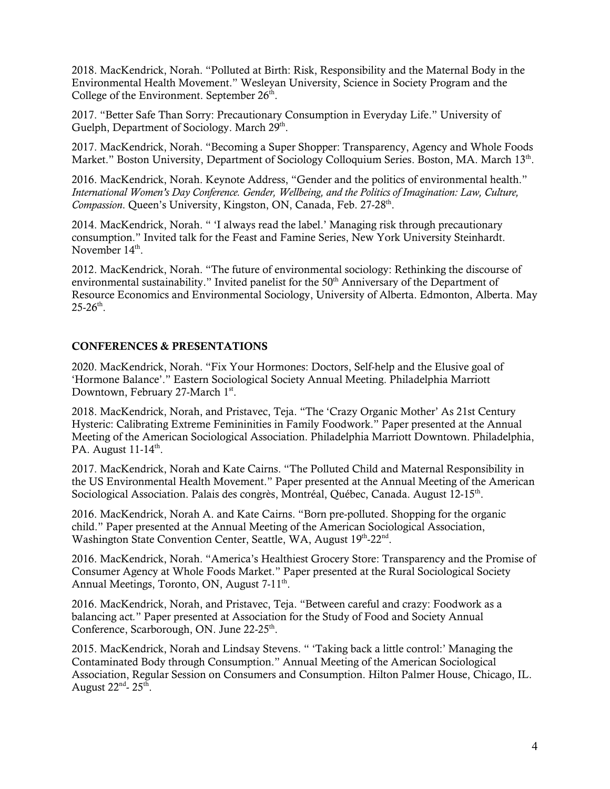2018. MacKendrick, Norah. "Polluted at Birth: Risk, Responsibility and the Maternal Body in the Environmental Health Movement." Wesleyan University, Science in Society Program and the College of the Environment. September  $26<sup>th</sup>$ .

2017. "Better Safe Than Sorry: Precautionary Consumption in Everyday Life." University of Guelph, Department of Sociology. March 29<sup>th</sup>.

2017. MacKendrick, Norah. "Becoming a Super Shopper: Transparency, Agency and Whole Foods Market." Boston University, Department of Sociology Colloquium Series. Boston, MA. March 13<sup>th</sup>.

2016. MacKendrick, Norah. Keynote Address, "Gender and the politics of environmental health." *International Women's Day Conference. Gender, Wellbeing, and the Politics of Imagination: Law, Culture, Compassion*, Queen's University, Kingston, ON, Canada, Feb. 27-28<sup>th</sup>.

2014. MacKendrick, Norah. " 'I always read the label.' Managing risk through precautionary consumption." Invited talk for the Feast and Famine Series, New York University Steinhardt. November  $14<sup>th</sup>$ .

2012. MacKendrick, Norah. "The future of environmental sociology: Rethinking the discourse of environmental sustainability." Invited panelist for the  $50<sup>th</sup>$  Anniversary of the Department of Resource Economics and Environmental Sociology, University of Alberta. Edmonton, Alberta. May  $25-26^{th}$ .

#### CONFERENCES & PRESENTATIONS

2020. MacKendrick, Norah. "Fix Your Hormones: Doctors, Self-help and the Elusive goal of 'Hormone Balance'." Eastern Sociological Society Annual Meeting. Philadelphia Marriott Downtown, February 27-March 1st.

2018. MacKendrick, Norah, and Pristavec, Teja. "The 'Crazy Organic Mother' As 21st Century Hysteric: Calibrating Extreme Femininities in Family Foodwork." Paper presented at the Annual Meeting of the American Sociological Association. Philadelphia Marriott Downtown. Philadelphia, PA. August  $11-14^{\text{th}}$ .

2017. MacKendrick, Norah and Kate Cairns. "The Polluted Child and Maternal Responsibility in the US Environmental Health Movement." Paper presented at the Annual Meeting of the American Sociological Association. Palais des congrès, Montréal, Québec, Canada. August 12-15th.

2016. MacKendrick, Norah A. and Kate Cairns. "Born pre-polluted. Shopping for the organic child." Paper presented at the Annual Meeting of the American Sociological Association, Washington State Convention Center, Seattle, WA, August 19th-22nd.

2016. MacKendrick, Norah. "America's Healthiest Grocery Store: Transparency and the Promise of Consumer Agency at Whole Foods Market." Paper presented at the Rural Sociological Society Annual Meetings, Toronto, ON, August 7-11<sup>th</sup>.

2016. MacKendrick, Norah, and Pristavec, Teja. "Between careful and crazy: Foodwork as a balancing act*.*" Paper presented at Association for the Study of Food and Society Annual Conference, Scarborough, ON. June 22-25<sup>th</sup>.

2015. MacKendrick, Norah and Lindsay Stevens. " 'Taking back a little control:' Managing the Contaminated Body through Consumption." Annual Meeting of the American Sociological Association, Regular Session on Consumers and Consumption. Hilton Palmer House, Chicago, IL. August  $22<sup>nd</sup>$ -  $25<sup>th</sup>$ .